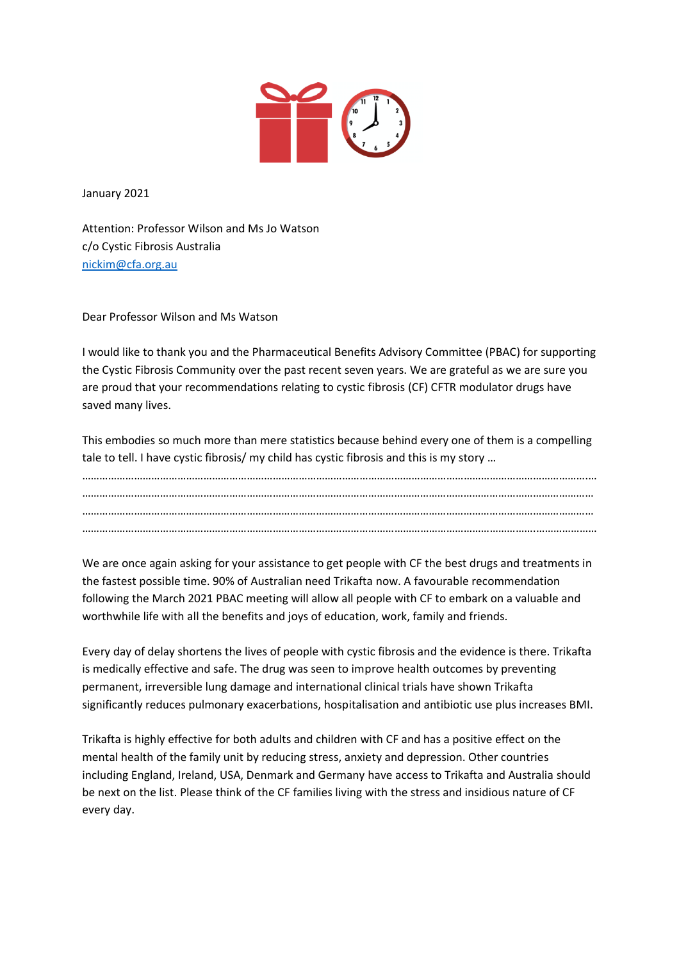

January 2021

Attention: Professor Wilson and Ms Jo Watson c/o Cystic Fibrosis Australia [nickim@cfa.org.au](mailto:nickim@cfa.org.au)

Dear Professor Wilson and Ms Watson

I would like to thank you and the Pharmaceutical Benefits Advisory Committee (PBAC) for supporting the Cystic Fibrosis Community over the past recent seven years. We are grateful as we are sure you are proud that your recommendations relating to cystic fibrosis (CF) CFTR modulator drugs have saved many lives.

This embodies so much more than mere statistics because behind every one of them is a compelling tale to tell. I have cystic fibrosis/ my child has cystic fibrosis and this is my story …

………………………………………………………………………………………………………………………………………………………….… …………………………………………………………………………………………………………………………………………………………… …………………………………………………………………………………………………………………………………………………………… ………………………………………………………………………………………………………………………………………….…………………

We are once again asking for your assistance to get people with CF the best drugs and treatments in the fastest possible time. 90% of Australian need Trikafta now. A favourable recommendation following the March 2021 PBAC meeting will allow all people with CF to embark on a valuable and worthwhile life with all the benefits and joys of education, work, family and friends.

Every day of delay shortens the lives of people with cystic fibrosis and the evidence is there. Trikafta is medically effective and safe. The drug was seen to improve health outcomes by preventing permanent, irreversible lung damage and international clinical trials have shown Trikafta significantly reduces pulmonary exacerbations, hospitalisation and antibiotic use plus increases BMI.

Trikafta is highly effective for both adults and children with CF and has a positive effect on the mental health of the family unit by reducing stress, anxiety and depression. Other countries including England, Ireland, USA, Denmark and Germany have access to Trikafta and Australia should be next on the list. Please think of the CF families living with the stress and insidious nature of CF every day.